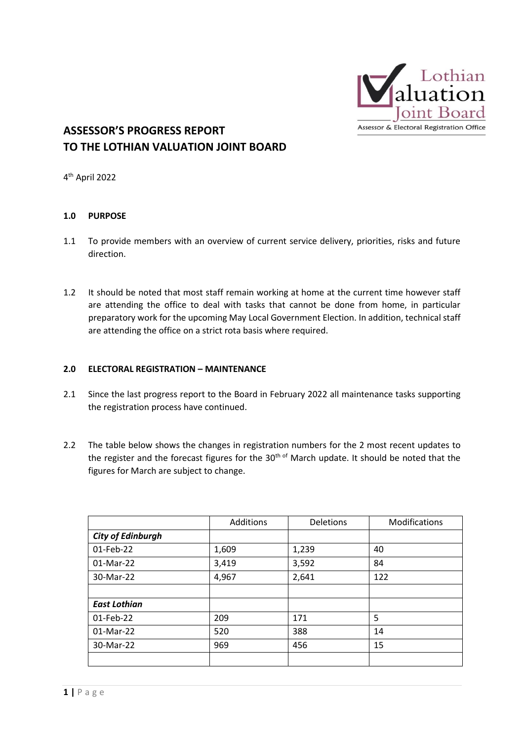

## **ASSESSOR'S PROGRESS REPORT TO THE LOTHIAN VALUATION JOINT BOARD**

4 th April 2022

#### **1.0 PURPOSE**

- 1.1 To provide members with an overview of current service delivery, priorities, risks and future direction.
- 1.2 It should be noted that most staff remain working at home at the current time however staff are attending the office to deal with tasks that cannot be done from home, in particular preparatory work for the upcoming May Local Government Election. In addition, technical staff are attending the office on a strict rota basis where required.

#### **2.0 ELECTORAL REGISTRATION – MAINTENANCE**

- 2.1 Since the last progress report to the Board in February 2022 all maintenance tasks supporting the registration process have continued.
- 2.2 The table below shows the changes in registration numbers for the 2 most recent updates to the register and the forecast figures for the 30<sup>th of</sup> March update. It should be noted that the figures for March are subject to change.

|                          | Additions | Deletions | Modifications |
|--------------------------|-----------|-----------|---------------|
| <b>City of Edinburgh</b> |           |           |               |
| 01-Feb-22                | 1,609     | 1,239     | 40            |
| 01-Mar-22                | 3,419     | 3,592     | 84            |
| 30-Mar-22                | 4,967     | 2,641     | 122           |
|                          |           |           |               |
| <b>East Lothian</b>      |           |           |               |
| 01-Feb-22                | 209       | 171       | 5             |
| 01-Mar-22                | 520       | 388       | 14            |
| 30-Mar-22                | 969       | 456       | 15            |
|                          |           |           |               |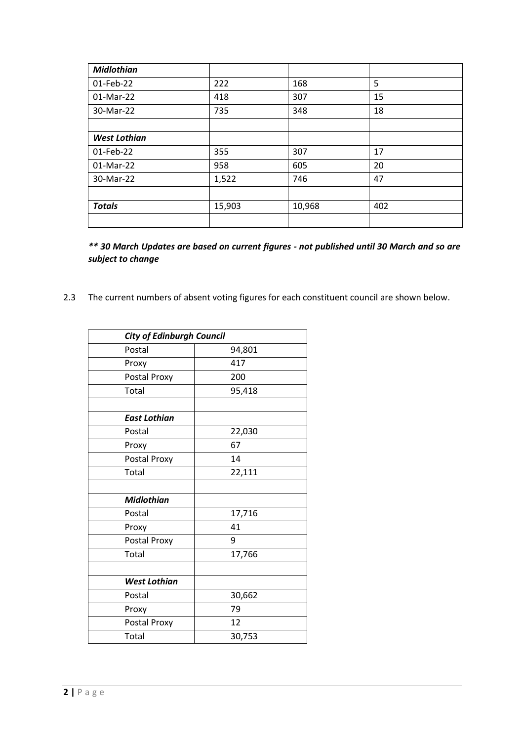| <b>Midlothian</b>   |        |        |     |
|---------------------|--------|--------|-----|
| 01-Feb-22           | 222    | 168    | 5   |
| $01-Mar-22$         | 418    | 307    | 15  |
| 30-Mar-22           | 735    | 348    | 18  |
|                     |        |        |     |
| <b>West Lothian</b> |        |        |     |
| 01-Feb-22           | 355    | 307    | 17  |
| 01-Mar-22           | 958    | 605    | 20  |
| 30-Mar-22           | 1,522  | 746    | 47  |
|                     |        |        |     |
| <b>Totals</b>       | 15,903 | 10,968 | 402 |
|                     |        |        |     |

*\*\* 30 March Updates are based on current figures - not published until 30 March and so are subject to change*

2.3 The current numbers of absent voting figures for each constituent council are shown below.

| <b>City of Edinburgh Council</b> |        |
|----------------------------------|--------|
| Postal                           | 94,801 |
| Proxy                            | 417    |
| Postal Proxy                     | 200    |
| Total                            | 95,418 |
|                                  |        |
| <b>East Lothian</b>              |        |
| Postal                           | 22,030 |
| Proxy                            | 67     |
| Postal Proxy                     | 14     |
| Total                            | 22,111 |
|                                  |        |
| <b>Midlothian</b>                |        |
| Postal                           | 17,716 |
| Proxy                            | 41     |
| Postal Proxy                     | 9      |
| Total                            | 17,766 |
|                                  |        |
| <b>West Lothian</b>              |        |
| Postal                           | 30,662 |
| Proxy                            | 79     |
| Postal Proxy                     | 12     |
| Total                            | 30,753 |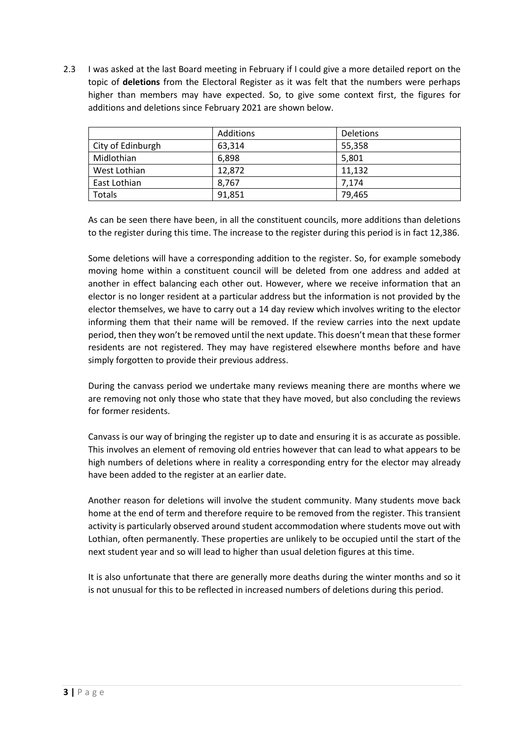2.3 I was asked at the last Board meeting in February if I could give a more detailed report on the topic of **deletions** from the Electoral Register as it was felt that the numbers were perhaps higher than members may have expected. So, to give some context first, the figures for additions and deletions since February 2021 are shown below.

|                   | Additions | <b>Deletions</b> |
|-------------------|-----------|------------------|
| City of Edinburgh | 63.314    | 55,358           |
| Midlothian        | 6,898     | 5,801            |
| West Lothian      | 12,872    | 11,132           |
| East Lothian      | 8.767     | 7.174            |
| Totals            | 91,851    | 79,465           |

As can be seen there have been, in all the constituent councils, more additions than deletions to the register during this time. The increase to the register during this period is in fact 12,386.

Some deletions will have a corresponding addition to the register. So, for example somebody moving home within a constituent council will be deleted from one address and added at another in effect balancing each other out. However, where we receive information that an elector is no longer resident at a particular address but the information is not provided by the elector themselves, we have to carry out a 14 day review which involves writing to the elector informing them that their name will be removed. If the review carries into the next update period, then they won't be removed until the next update. This doesn't mean that these former residents are not registered. They may have registered elsewhere months before and have simply forgotten to provide their previous address.

During the canvass period we undertake many reviews meaning there are months where we are removing not only those who state that they have moved, but also concluding the reviews for former residents.

Canvass is our way of bringing the register up to date and ensuring it is as accurate as possible. This involves an element of removing old entries however that can lead to what appears to be high numbers of deletions where in reality a corresponding entry for the elector may already have been added to the register at an earlier date.

Another reason for deletions will involve the student community. Many students move back home at the end of term and therefore require to be removed from the register. This transient activity is particularly observed around student accommodation where students move out with Lothian, often permanently. These properties are unlikely to be occupied until the start of the next student year and so will lead to higher than usual deletion figures at this time.

It is also unfortunate that there are generally more deaths during the winter months and so it is not unusual for this to be reflected in increased numbers of deletions during this period.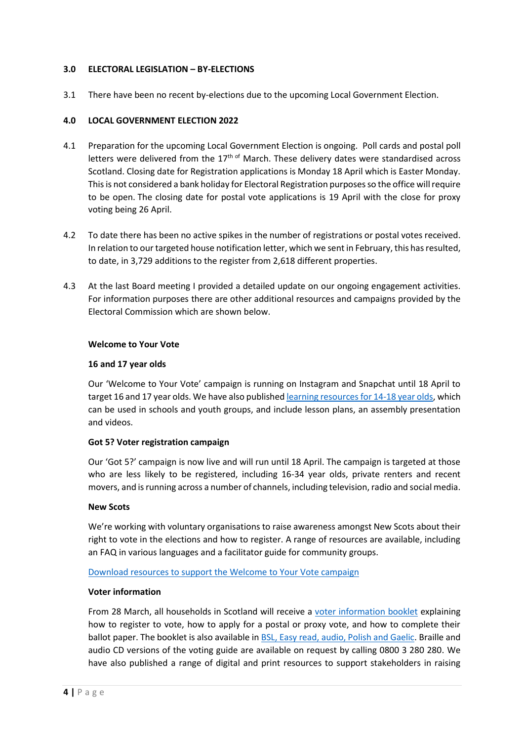#### **3.0 ELECTORAL LEGISLATION – BY-ELECTIONS**

3.1 There have been no recent by-elections due to the upcoming Local Government Election.

#### **4.0 LOCAL GOVERNMENT ELECTION 2022**

- 4.1 Preparation for the upcoming Local Government Election is ongoing. Poll cards and postal poll letters were delivered from the  $17<sup>th of</sup>$  March. These delivery dates were standardised across Scotland. Closing date for Registration applications is Monday 18 April which is Easter Monday. This is not considered a bank holiday for Electoral Registration purposes so the office will require to be open. The closing date for postal vote applications is 19 April with the close for proxy voting being 26 April.
- 4.2 To date there has been no active spikes in the number of registrations or postal votes received. In relation to our targeted house notification letter, which we sent in February, this has resulted, to date, in 3,729 additions to the register from 2,618 different properties.
- 4.3 At the last Board meeting I provided a detailed update on our ongoing engagement activities. For information purposes there are other additional resources and campaigns provided by the Electoral Commission which are shown below.

#### **Welcome to Your Vote**

#### **16 and 17 year olds**

Our 'Welcome to Your Vote' campaign is running on Instagram and Snapchat until 18 April to target 16 and 17 year olds. We have also publishe[d learning resources for 14-18 year olds,](https://www.electoralcommission.org.uk/welcome-your-vote) which can be used in schools and youth groups, and include lesson plans, an assembly presentation and videos.

#### **Got 5? Voter registration campaign**

Our 'Got 5?' campaign is now live and will run until 18 April. The campaign is targeted at those who are less likely to be registered, including 16-34 year olds, private renters and recent movers, and is running across a number of channels, including television, radio and social media.

#### **New Scots**

We're working with voluntary organisations to raise awareness amongst New Scots about their right to vote in the elections and how to register. A range of resources are available, including an FAQ in various languages and a facilitator guide for community groups.

#### [Download resources to support the Welcome to Your Vote campaign](https://www.electoralcommission.org.uk/i-am-a/partner-charity-or-local-council/newly-enfranchised-voter-resources-welcome-your-vote)

#### **Voter information**

From 28 March, all households in Scotland will receive a [voter information booklet](https://www.electoralcommission.org.uk/media/9067) explaining how to register to vote, how to apply for a postal or proxy vote, and how to complete their ballot paper. The booklet is also available in **BSL, Easy read, audio, Polish and Gaelic**. Braille and audio CD versions of the voting guide are available on request by calling 0800 3 280 280. We have also published a range of digital and print resources to support stakeholders in raising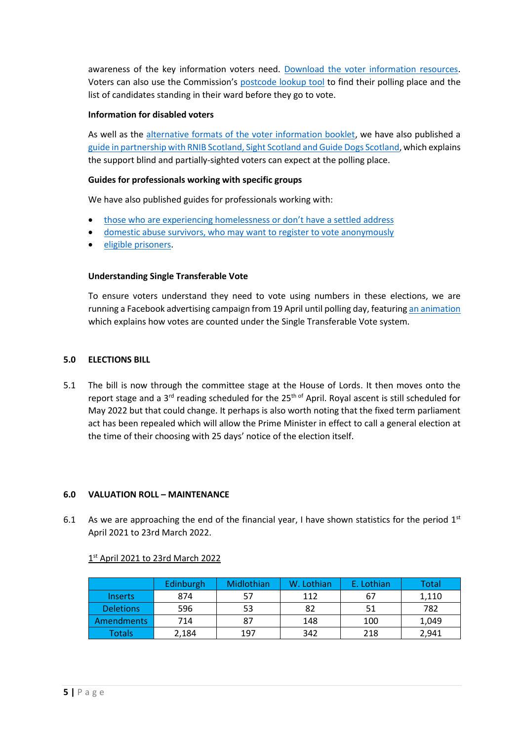awareness of the key information voters need. [Download the voter information resources.](https://www.electoralcommission.org.uk/i-am-a/partner-charity-or-local-council/may-2022-elections-resources-voter-information) Voters can also use the Commission's [postcode lookup tool](https://www.electoralcommission.org.uk/i-am-a/voter/your-election-information) to find their polling place and the list of candidates standing in their ward before they go to vote.

#### **Information for disabled voters**

As well as the [alternative formats of the voter information booklet,](https://www.electoralcommission.org.uk/i-am-a/partner-charity-or-local-council/may-2022-elections-resources-voter-information) we have also published a [guide in partnership with RNIB Scotland, Sight Scotland and Guide Dogs Scotland,](https://www.electoralcommission.org.uk/sites/default/files/2022-03/2022%20council%20elections%20%20-%20Guide%20for%20blind%20and%20partially%20sighted%20voters_0.docx) which explains the support blind and partially-sighted voters can expect at the polling place.

#### **Guides for professionals working with specific groups**

We have also published guides for professionals working with:

- [those who are experiencing homelessness or don't have](https://www.electoralcommission.org.uk/i-am-a/partner-charity-or-local-council/may-2022-elections-supporting-people-no-settled-address-register) a settled address
- [domestic abuse survivors, who may want to register to vote anonymously](https://www.electoralcommission.org.uk/i-am-a/partner-charity-or-local-council/supporting-domestic-abuse-survivors-register-vote-anonymously)
- [eligible prisoners.](https://www.electoralcommission.org.uk/i-am-a/partner-charity-or-local-council/may-2022-elections-supporting-prisoners-scotland-register-vote)

#### **Understanding Single Transferable Vote**

To ensure voters understand they need to vote using numbers in these elections, we are running a Facebook advertising campaign from 19 April until polling day, featurin[g an animation](https://electoralcommission.us12.list-manage.com/track/click?u=ceed4d9491d4d36e4ddea0bc8&id=592dc1a308&e=573f2723cb) which explains how votes are counted under the Single Transferable Vote system.

#### **5.0 ELECTIONS BILL**

5.1 The bill is now through the committee stage at the House of Lords. It then moves onto the report stage and a 3<sup>rd</sup> reading scheduled for the 25<sup>th of</sup> April. Royal ascent is still scheduled for May 2022 but that could change. It perhaps is also worth noting that the fixed term parliament act has been repealed which will allow the Prime Minister in effect to call a general election at the time of their choosing with 25 days' notice of the election itself.

#### **6.0 VALUATION ROLL – MAINTENANCE**

6.1 As we are approaching the end of the financial year, I have shown statistics for the period  $1<sup>st</sup>$ April 2021 to 23rd March 2022.

#### 1st April 2021 to 23rd March 2022

|                   | Edinburgh | Midlothian | W. Lothian | E. Lothian | Total |
|-------------------|-----------|------------|------------|------------|-------|
| <b>Inserts</b>    | 874       | 57         | 112        | 67         | 1,110 |
| <b>Deletions</b>  | 596       | 53         | 82         | 51         | 782   |
| <b>Amendments</b> | 714       | 87         | 148        | 100        | 1,049 |
| Totals            | 2,184     | 197        | 342        | 218        | 2,941 |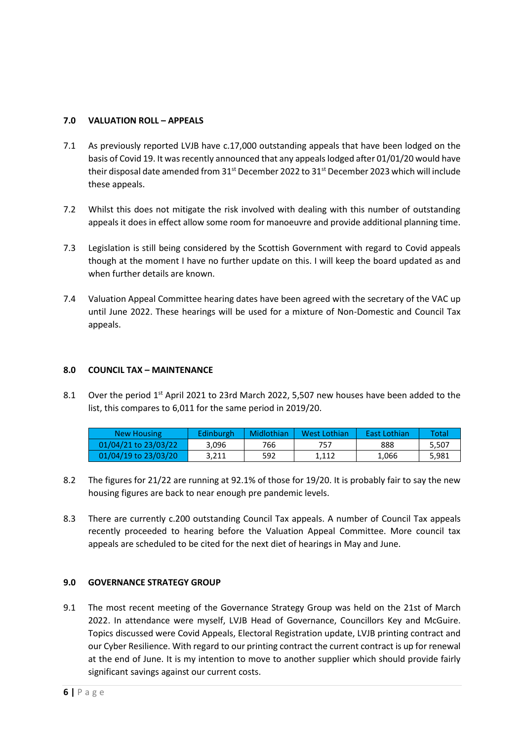#### **7.0 VALUATION ROLL – APPEALS**

- 7.1 As previously reported LVJB have c.17,000 outstanding appeals that have been lodged on the basis of Covid 19. It was recently announced that any appeals lodged after 01/01/20 would have their disposal date amended from 31<sup>st</sup> December 2022 to 31<sup>st</sup> December 2023 which will include these appeals.
- 7.2 Whilst this does not mitigate the risk involved with dealing with this number of outstanding appeals it does in effect allow some room for manoeuvre and provide additional planning time.
- 7.3 Legislation is still being considered by the Scottish Government with regard to Covid appeals though at the moment I have no further update on this. I will keep the board updated as and when further details are known.
- 7.4 Valuation Appeal Committee hearing dates have been agreed with the secretary of the VAC up until June 2022. These hearings will be used for a mixture of Non-Domestic and Council Tax appeals.

#### **8.0 COUNCIL TAX – MAINTENANCE**

8.1 Over the period  $1<sup>st</sup>$  April 2021 to 23rd March 2022, 5,507 new houses have been added to the list, this compares to 6,011 for the same period in 2019/20.

| New Housing          | Edinburgh | Midlothian | West Lothian | <b>East Lothian</b> | Total |
|----------------------|-----------|------------|--------------|---------------------|-------|
| 01/04/21 to 23/03/22 | 3.096     | 766        | 757          | 888                 | 5.507 |
| 01/04/19 to 23/03/20 | 3.211     | 592        | 1.112        | 1.066               | 5.981 |

- 8.2 The figures for 21/22 are running at 92.1% of those for 19/20. It is probably fair to say the new housing figures are back to near enough pre pandemic levels.
- 8.3 There are currently c.200 outstanding Council Tax appeals. A number of Council Tax appeals recently proceeded to hearing before the Valuation Appeal Committee. More council tax appeals are scheduled to be cited for the next diet of hearings in May and June.

#### **9.0 GOVERNANCE STRATEGY GROUP**

9.1 The most recent meeting of the Governance Strategy Group was held on the 21st of March 2022. In attendance were myself, LVJB Head of Governance, Councillors Key and McGuire. Topics discussed were Covid Appeals, Electoral Registration update, LVJB printing contract and our Cyber Resilience. With regard to our printing contract the current contract is up for renewal at the end of June. It is my intention to move to another supplier which should provide fairly significant savings against our current costs.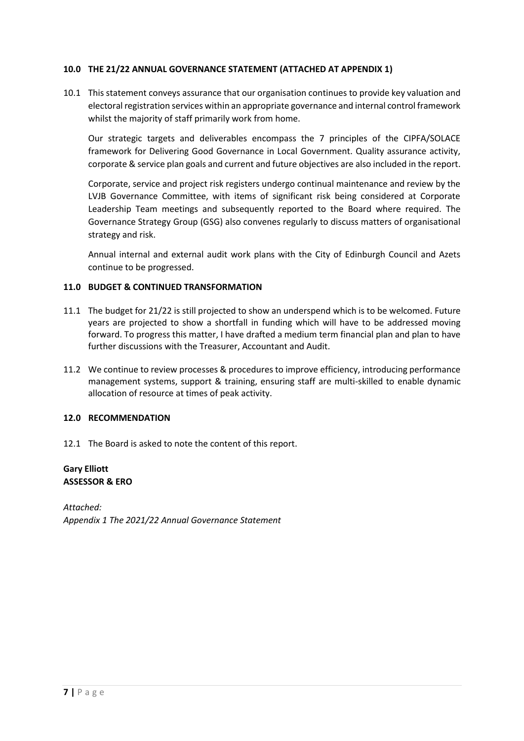#### **10.0 THE 21/22 ANNUAL GOVERNANCE STATEMENT (ATTACHED AT APPENDIX 1)**

10.1 This statement conveys assurance that our organisation continues to provide key valuation and electoral registration services within an appropriate governance and internal control framework whilst the majority of staff primarily work from home.

Our strategic targets and deliverables encompass the 7 principles of the CIPFA/SOLACE framework for Delivering Good Governance in Local Government. Quality assurance activity, corporate & service plan goals and current and future objectives are also included in the report.

Corporate, service and project risk registers undergo continual maintenance and review by the LVJB Governance Committee, with items of significant risk being considered at Corporate Leadership Team meetings and subsequently reported to the Board where required. The Governance Strategy Group (GSG) also convenes regularly to discuss matters of organisational strategy and risk.

Annual internal and external audit work plans with the City of Edinburgh Council and Azets continue to be progressed.

#### **11.0 BUDGET & CONTINUED TRANSFORMATION**

- 11.1 The budget for 21/22 is still projected to show an underspend which is to be welcomed. Future years are projected to show a shortfall in funding which will have to be addressed moving forward. To progress this matter, I have drafted a medium term financial plan and plan to have further discussions with the Treasurer, Accountant and Audit.
- 11.2 We continue to review processes & procedures to improve efficiency, introducing performance management systems, support & training, ensuring staff are multi-skilled to enable dynamic allocation of resource at times of peak activity.

#### **12.0 RECOMMENDATION**

12.1 The Board is asked to note the content of this report.

#### **Gary Elliott ASSESSOR & ERO**

*Attached: Appendix 1 The 2021/22 Annual Governance Statement*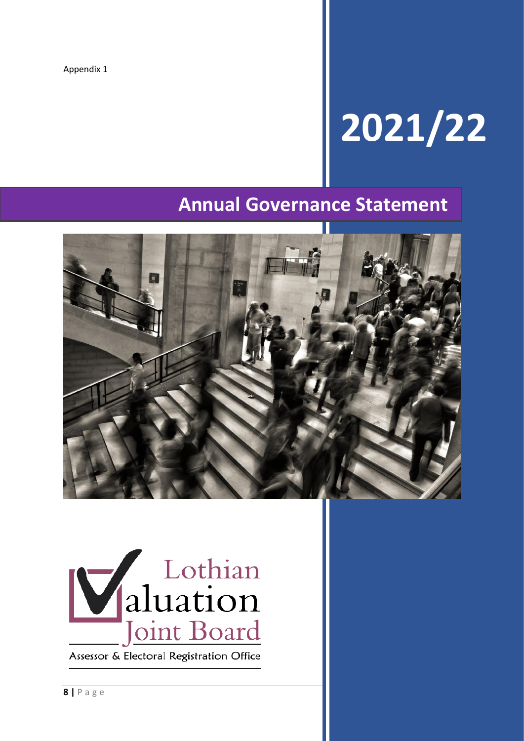Appendix 1

# **2021/22**

## **Annual Governance Statement**





Assessor & Electoral Registration Office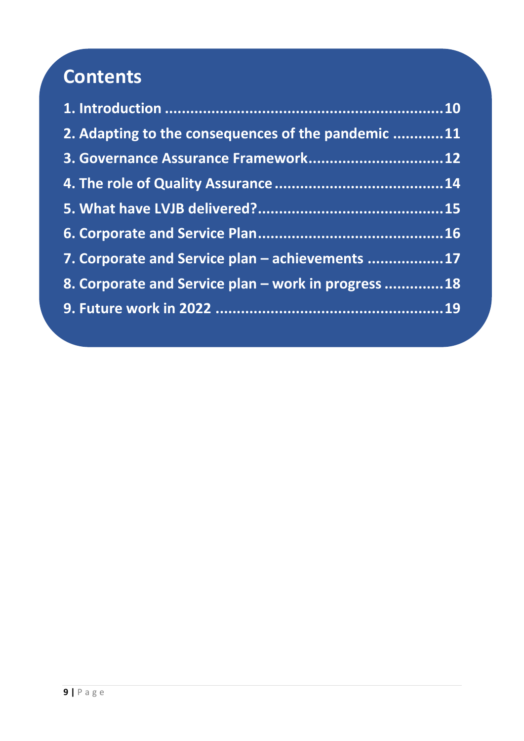# **Contents**

| 2. Adapting to the consequences of the pandemic 11  |  |
|-----------------------------------------------------|--|
| 3. Governance Assurance Framework12                 |  |
|                                                     |  |
|                                                     |  |
|                                                     |  |
| 7. Corporate and Service plan - achievements 17     |  |
| 8. Corporate and Service plan - work in progress 18 |  |
|                                                     |  |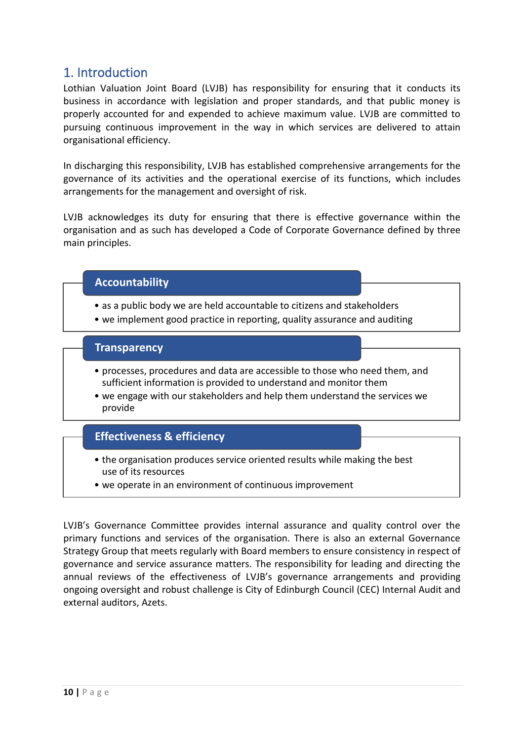### <span id="page-9-0"></span>1. Introduction

Lothian Valuation Joint Board (LVJB) has responsibility for ensuring that it conducts its business in accordance with legislation and proper standards, and that public money is properly accounted for and expended to achieve maximum value. LVJB are committed to pursuing continuous improvement in the way in which services are delivered to attain organisational efficiency.

In discharging this responsibility, LVJB has established comprehensive arrangements for the governance of its activities and the operational exercise of its functions, which includes arrangements for the management and oversight of risk.

LVJB acknowledges its duty for ensuring that there is effective governance within the organisation and as such has developed a Code of Corporate Governance defined by three main principles.

#### **Accountability**

- as a public body we are held accountable to citizens and stakeholders
- we implement good practice in reporting, quality assurance and auditing

#### **Transparency**

- processes, procedures and data are accessible to those who need them, and sufficient information is provided to understand and monitor them
- we engage with our stakeholders and help them understand the services we provide

#### **Effectiveness & efficiency**

- the organisation produces service oriented results while making the best use of its resources
- we operate in an environment of continuous improvement

LVJB's Governance Committee provides internal assurance and quality control over the primary functions and services of the organisation. There is also an external Governance Strategy Group that meets regularly with Board members to ensure consistency in respect of governance and service assurance matters. The responsibility for leading and directing the annual reviews of the effectiveness of LVJB's governance arrangements and providing ongoing oversight and robust challenge is City of Edinburgh Council (CEC) Internal Audit and external auditors, Azets.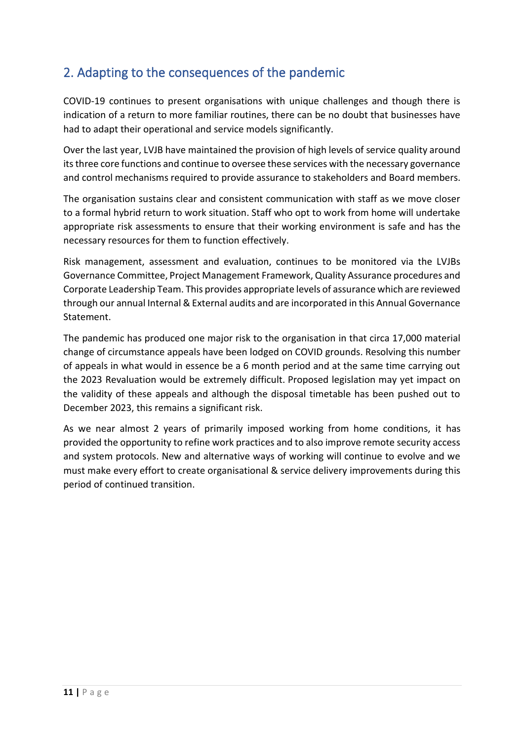## <span id="page-10-0"></span>2. Adapting to the consequences of the pandemic

COVID-19 continues to present organisations with unique challenges and though there is indication of a return to more familiar routines, there can be no doubt that businesses have had to adapt their operational and service models significantly.

Over the last year, LVJB have maintained the provision of high levels of service quality around its three core functions and continue to oversee these services with the necessary governance and control mechanisms required to provide assurance to stakeholders and Board members.

The organisation sustains clear and consistent communication with staff as we move closer to a formal hybrid return to work situation. Staff who opt to work from home will undertake appropriate risk assessments to ensure that their working environment is safe and has the necessary resources for them to function effectively.

Risk management, assessment and evaluation, continues to be monitored via the LVJBs Governance Committee, Project Management Framework, Quality Assurance procedures and Corporate Leadership Team. This provides appropriate levels of assurance which are reviewed through our annual Internal & External audits and are incorporated in this Annual Governance Statement.

The pandemic has produced one major risk to the organisation in that circa 17,000 material change of circumstance appeals have been lodged on COVID grounds. Resolving this number of appeals in what would in essence be a 6 month period and at the same time carrying out the 2023 Revaluation would be extremely difficult. Proposed legislation may yet impact on the validity of these appeals and although the disposal timetable has been pushed out to December 2023, this remains a significant risk.

As we near almost 2 years of primarily imposed working from home conditions, it has provided the opportunity to refine work practices and to also improve remote security access and system protocols. New and alternative ways of working will continue to evolve and we must make every effort to create organisational & service delivery improvements during this period of continued transition.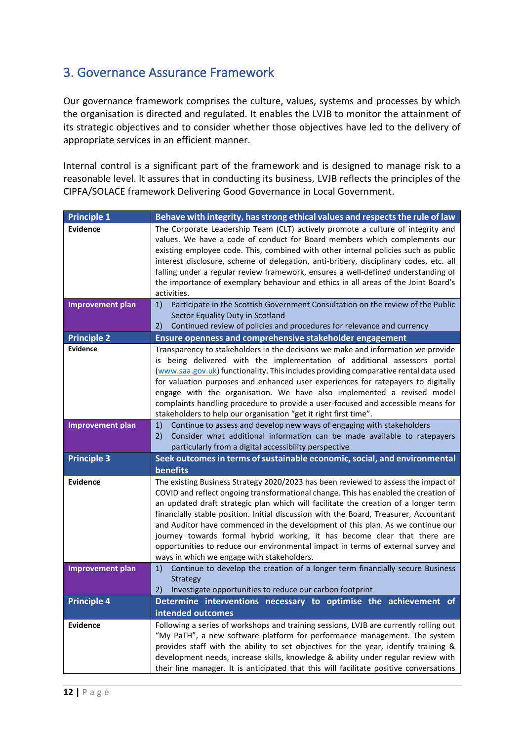## <span id="page-11-0"></span>3. Governance Assurance Framework

Our governance framework comprises the culture, values, systems and processes by which the organisation is directed and regulated. It enables the LVJB to monitor the attainment of its strategic objectives and to consider whether those objectives have led to the delivery of appropriate services in an efficient manner.

Internal control is a significant part of the framework and is designed to manage risk to a reasonable level. It assures that in conducting its business, LVJB reflects the principles of the CIPFA/SOLACE framework Delivering Good Governance in Local Government.

| <b>Principle 1</b>      | Behave with integrity, has strong ethical values and respects the rule of law                                                                               |
|-------------------------|-------------------------------------------------------------------------------------------------------------------------------------------------------------|
| <b>Evidence</b>         | The Corporate Leadership Team (CLT) actively promote a culture of integrity and                                                                             |
|                         | values. We have a code of conduct for Board members which complements our                                                                                   |
|                         | existing employee code. This, combined with other internal policies such as public                                                                          |
|                         | interest disclosure, scheme of delegation, anti-bribery, disciplinary codes, etc. all                                                                       |
|                         | falling under a regular review framework, ensures a well-defined understanding of                                                                           |
|                         | the importance of exemplary behaviour and ethics in all areas of the Joint Board's                                                                          |
|                         | activities.                                                                                                                                                 |
| <b>Improvement plan</b> | Participate in the Scottish Government Consultation on the review of the Public<br>1)                                                                       |
|                         | Sector Equality Duty in Scotland<br>Continued review of policies and procedures for relevance and currency<br>2)                                            |
| <b>Principle 2</b>      | Ensure openness and comprehensive stakeholder engagement                                                                                                    |
| <b>Evidence</b>         | Transparency to stakeholders in the decisions we make and information we provide                                                                            |
|                         | is being delivered with the implementation of additional assessors portal                                                                                   |
|                         | (www.saa.gov.uk) functionality. This includes providing comparative rental data used                                                                        |
|                         | for valuation purposes and enhanced user experiences for ratepayers to digitally                                                                            |
|                         | engage with the organisation. We have also implemented a revised model                                                                                      |
|                         | complaints handling procedure to provide a user-focused and accessible means for                                                                            |
|                         | stakeholders to help our organisation "get it right first time".                                                                                            |
| <b>Improvement plan</b> | Continue to assess and develop new ways of engaging with stakeholders<br>1)                                                                                 |
|                         | 2)<br>Consider what additional information can be made available to ratepayers                                                                              |
|                         | particularly from a digital accessibility perspective                                                                                                       |
| <b>Principle 3</b>      | Seek outcomes in terms of sustainable economic, social, and environmental                                                                                   |
|                         | benefits                                                                                                                                                    |
| <b>Evidence</b>         | The existing Business Strategy 2020/2023 has been reviewed to assess the impact of                                                                          |
|                         | COVID and reflect ongoing transformational change. This has enabled the creation of                                                                         |
|                         | an updated draft strategic plan which will facilitate the creation of a longer term                                                                         |
|                         | financially stable position. Initial discussion with the Board, Treasurer, Accountant                                                                       |
|                         | and Auditor have commenced in the development of this plan. As we continue our<br>journey towards formal hybrid working, it has become clear that there are |
|                         | opportunities to reduce our environmental impact in terms of external survey and                                                                            |
|                         | ways in which we engage with stakeholders.                                                                                                                  |
| <b>Improvement plan</b> | Continue to develop the creation of a longer term financially secure Business<br>1)                                                                         |
|                         | <b>Strategy</b>                                                                                                                                             |
|                         | Investigate opportunities to reduce our carbon footprint<br>2)                                                                                              |
| <b>Principle 4</b>      | Determine interventions necessary to optimise the achievement of                                                                                            |
|                         | intended outcomes                                                                                                                                           |
| <b>Evidence</b>         | Following a series of workshops and training sessions, LVJB are currently rolling out                                                                       |
|                         | "My PaTH", a new software platform for performance management. The system                                                                                   |
|                         | provides staff with the ability to set objectives for the year, identify training &                                                                         |
|                         | development needs, increase skills, knowledge & ability under regular review with                                                                           |
|                         | their line manager. It is anticipated that this will facilitate positive conversations                                                                      |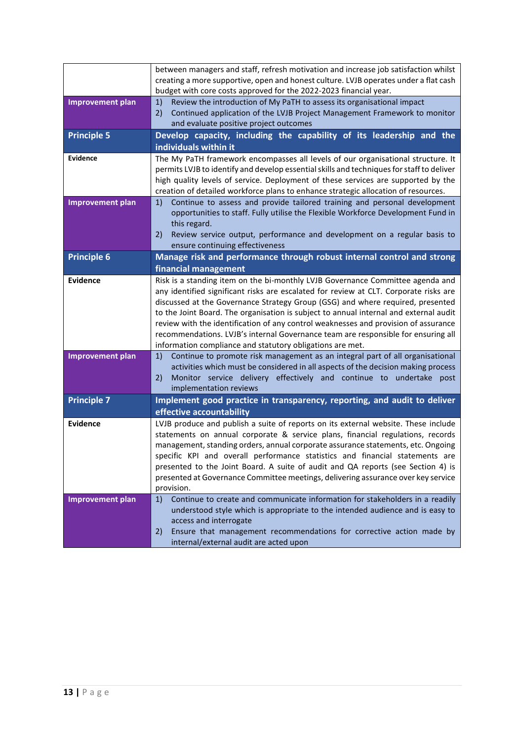|                         | between managers and staff, refresh motivation and increase job satisfaction whilst<br>creating a more supportive, open and honest culture. LVJB operates under a flat cash<br>budget with core costs approved for the 2022-2023 financial year.                                                                                                                                                                                                                                                                                                                                            |
|-------------------------|---------------------------------------------------------------------------------------------------------------------------------------------------------------------------------------------------------------------------------------------------------------------------------------------------------------------------------------------------------------------------------------------------------------------------------------------------------------------------------------------------------------------------------------------------------------------------------------------|
| <b>Improvement plan</b> | 1)<br>Review the introduction of My PaTH to assess its organisational impact<br>Continued application of the LVJB Project Management Framework to monitor<br>2)<br>and evaluate positive project outcomes                                                                                                                                                                                                                                                                                                                                                                                   |
| <b>Principle 5</b>      | Develop capacity, including the capability of its leadership and the<br>individuals within it                                                                                                                                                                                                                                                                                                                                                                                                                                                                                               |
| <b>Evidence</b>         | The My PaTH framework encompasses all levels of our organisational structure. It<br>permits LVJB to identify and develop essential skills and techniques for staff to deliver<br>high quality levels of service. Deployment of these services are supported by the<br>creation of detailed workforce plans to enhance strategic allocation of resources.                                                                                                                                                                                                                                    |
| <b>Improvement plan</b> | Continue to assess and provide tailored training and personal development<br>1)<br>opportunities to staff. Fully utilise the Flexible Workforce Development Fund in<br>this regard.<br>Review service output, performance and development on a regular basis to<br>2)<br>ensure continuing effectiveness                                                                                                                                                                                                                                                                                    |
| <b>Principle 6</b>      | Manage risk and performance through robust internal control and strong<br>financial management                                                                                                                                                                                                                                                                                                                                                                                                                                                                                              |
| <b>Evidence</b>         | Risk is a standing item on the bi-monthly LVJB Governance Committee agenda and<br>any identified significant risks are escalated for review at CLT. Corporate risks are<br>discussed at the Governance Strategy Group (GSG) and where required, presented<br>to the Joint Board. The organisation is subject to annual internal and external audit<br>review with the identification of any control weaknesses and provision of assurance<br>recommendations. LVJB's internal Governance team are responsible for ensuring all<br>information compliance and statutory obligations are met. |
| <b>Improvement plan</b> | Continue to promote risk management as an integral part of all organisational<br>1)<br>activities which must be considered in all aspects of the decision making process<br>Monitor service delivery effectively and continue to undertake<br>2)<br>post<br>implementation reviews                                                                                                                                                                                                                                                                                                          |
| <b>Principle 7</b>      | Implement good practice in transparency, reporting, and audit to deliver<br>effective accountability                                                                                                                                                                                                                                                                                                                                                                                                                                                                                        |
| <b>Evidence</b>         | LVJB produce and publish a suite of reports on its external website. These include<br>statements on annual corporate & service plans, financial regulations, records<br>management, standing orders, annual corporate assurance statements, etc. Ongoing<br>specific KPI and overall performance statistics and financial statements are<br>presented to the Joint Board. A suite of audit and QA reports (see Section 4) is<br>presented at Governance Committee meetings, delivering assurance over key service<br>provision.                                                             |
| <b>Improvement plan</b> | 1)<br>Continue to create and communicate information for stakeholders in a readily<br>understood style which is appropriate to the intended audience and is easy to<br>access and interrogate<br>Ensure that management recommendations for corrective action made by<br>2)<br>internal/external audit are acted upon                                                                                                                                                                                                                                                                       |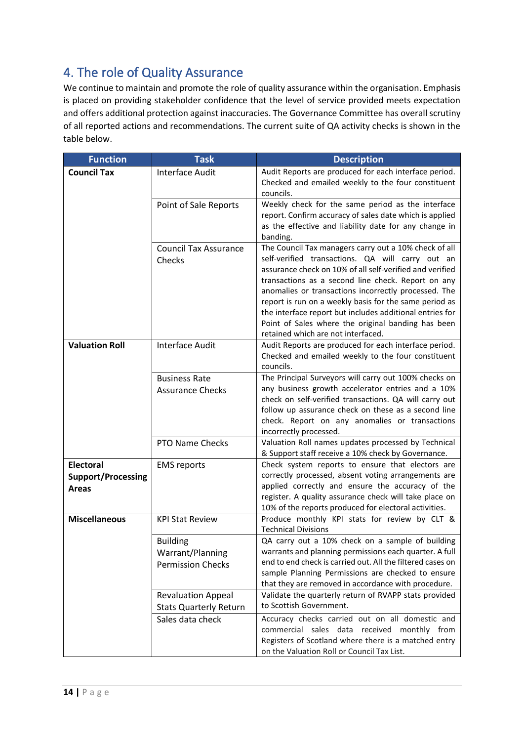## <span id="page-13-0"></span>4. The role of Quality Assurance

We continue to maintain and promote the role of quality assurance within the organisation. Emphasis is placed on providing stakeholder confidence that the level of service provided meets expectation and offers additional protection against inaccuracies. The Governance Committee has overall scrutiny of all reported actions and recommendations. The current suite of QA activity checks is shown in the table below.

| <b>Function</b>                           | <b>Task</b>                                                     | <b>Description</b>                                                                                                                                                                                                                                                                                                                                                                                                                                                                                    |
|-------------------------------------------|-----------------------------------------------------------------|-------------------------------------------------------------------------------------------------------------------------------------------------------------------------------------------------------------------------------------------------------------------------------------------------------------------------------------------------------------------------------------------------------------------------------------------------------------------------------------------------------|
| <b>Council Tax</b>                        | <b>Interface Audit</b>                                          | Audit Reports are produced for each interface period.<br>Checked and emailed weekly to the four constituent<br>councils.                                                                                                                                                                                                                                                                                                                                                                              |
|                                           | Point of Sale Reports                                           | Weekly check for the same period as the interface<br>report. Confirm accuracy of sales date which is applied<br>as the effective and liability date for any change in<br>banding.                                                                                                                                                                                                                                                                                                                     |
|                                           | <b>Council Tax Assurance</b><br>Checks                          | The Council Tax managers carry out a 10% check of all<br>self-verified transactions. QA will carry out an<br>assurance check on 10% of all self-verified and verified<br>transactions as a second line check. Report on any<br>anomalies or transactions incorrectly processed. The<br>report is run on a weekly basis for the same period as<br>the interface report but includes additional entries for<br>Point of Sales where the original banding has been<br>retained which are not interfaced. |
| <b>Valuation Roll</b>                     | <b>Interface Audit</b>                                          | Audit Reports are produced for each interface period.<br>Checked and emailed weekly to the four constituent<br>councils.                                                                                                                                                                                                                                                                                                                                                                              |
|                                           | <b>Business Rate</b>                                            | The Principal Surveyors will carry out 100% checks on                                                                                                                                                                                                                                                                                                                                                                                                                                                 |
|                                           | <b>Assurance Checks</b>                                         | any business growth accelerator entries and a 10%<br>check on self-verified transactions. QA will carry out<br>follow up assurance check on these as a second line<br>check. Report on any anomalies or transactions<br>incorrectly processed.                                                                                                                                                                                                                                                        |
|                                           | <b>PTO Name Checks</b>                                          | Valuation Roll names updates processed by Technical<br>& Support staff receive a 10% check by Governance.                                                                                                                                                                                                                                                                                                                                                                                             |
| <b>Electoral</b>                          | <b>EMS</b> reports                                              | Check system reports to ensure that electors are                                                                                                                                                                                                                                                                                                                                                                                                                                                      |
| <b>Support/Processing</b><br><b>Areas</b> |                                                                 | correctly processed, absent voting arrangements are<br>applied correctly and ensure the accuracy of the<br>register. A quality assurance check will take place on<br>10% of the reports produced for electoral activities.                                                                                                                                                                                                                                                                            |
| <b>Miscellaneous</b>                      | <b>KPI Stat Review</b>                                          | Produce monthly KPI stats for review by CLT &<br><b>Technical Divisions</b>                                                                                                                                                                                                                                                                                                                                                                                                                           |
|                                           | <b>Building</b><br>Warrant/Planning<br><b>Permission Checks</b> | QA carry out a 10% check on a sample of building<br>warrants and planning permissions each quarter. A full<br>end to end check is carried out. All the filtered cases on<br>sample Planning Permissions are checked to ensure<br>that they are removed in accordance with procedure.                                                                                                                                                                                                                  |
|                                           | <b>Revaluation Appeal</b><br><b>Stats Quarterly Return</b>      | Validate the quarterly return of RVAPP stats provided<br>to Scottish Government.                                                                                                                                                                                                                                                                                                                                                                                                                      |
|                                           | Sales data check                                                | Accuracy checks carried out on all domestic and<br>commercial sales data received monthly from<br>Registers of Scotland where there is a matched entry<br>on the Valuation Roll or Council Tax List.                                                                                                                                                                                                                                                                                                  |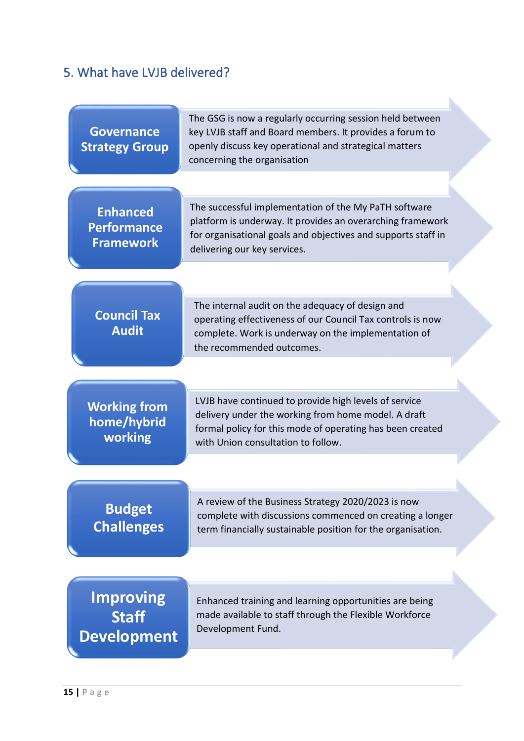## <span id="page-14-0"></span>5. What have LVJB delivered?

| <b>Governance</b><br><b>Strategy Group</b>                | The GSG is now a regularly occurring session held between<br>key LVJB staff and Board members. It provides a forum to<br>openly discuss key operational and strategical matters<br>concerning the organisation       |
|-----------------------------------------------------------|----------------------------------------------------------------------------------------------------------------------------------------------------------------------------------------------------------------------|
|                                                           |                                                                                                                                                                                                                      |
| <b>Enhanced</b><br><b>Performance</b><br><b>Framework</b> | The successful implementation of the My PaTH software<br>platform is underway. It provides an overarching framework<br>for organisational goals and objectives and supports staff in<br>delivering our key services. |
|                                                           |                                                                                                                                                                                                                      |
| <b>Council Tax</b><br><b>Audit</b>                        | The internal audit on the adequacy of design and<br>operating effectiveness of our Council Tax controls is now<br>complete. Work is underway on the implementation of<br>the recommended outcomes.                   |
|                                                           |                                                                                                                                                                                                                      |
| <b>Working from</b><br>home/hybrid<br>working             | LVJB have continued to provide high levels of service<br>delivery under the working from home model. A draft<br>formal policy for this mode of operating has been created<br>with Union consultation to follow.      |
|                                                           |                                                                                                                                                                                                                      |
| <b>Budget</b><br><b>Challenges</b>                        | A review of the Business Strategy 2020/2023 is now<br>complete with discussions commenced on creating a longer<br>term financially sustainable position for the organisation.                                        |
|                                                           |                                                                                                                                                                                                                      |
| <b>Improving</b><br><b>Staff</b><br><b>Development</b>    | Enhanced training and learning opportunities are being<br>made available to staff through the Flexible Workforce<br>Development Fund.                                                                                |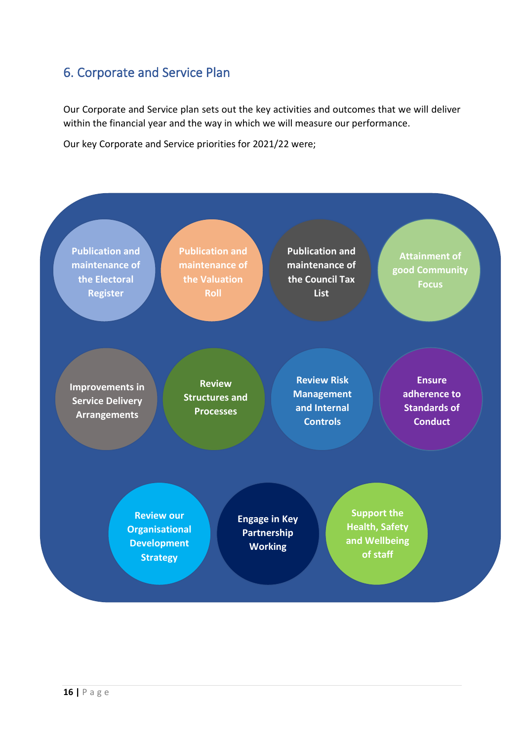## <span id="page-15-0"></span>6. Corporate and Service Plan

Our Corporate and Service plan sets out the key activities and outcomes that we will deliver within the financial year and the way in which we will measure our performance.

Our key Corporate and Service priorities for 2021/22 were;

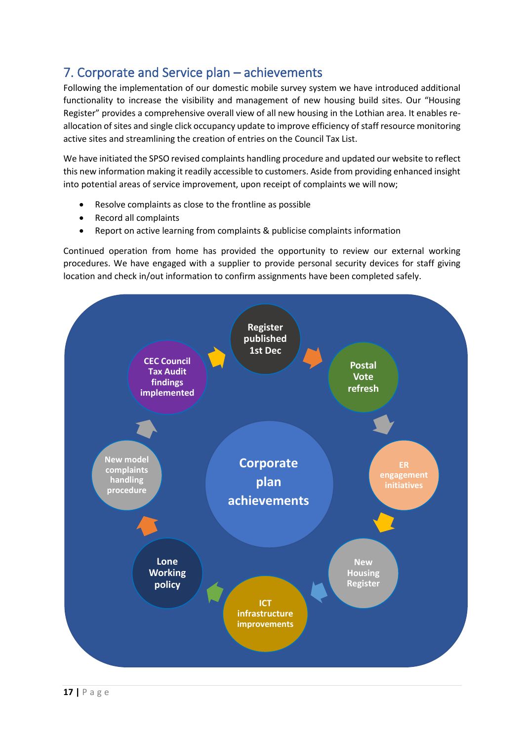## <span id="page-16-0"></span>7. Corporate and Service plan – achievements

Following the implementation of our domestic mobile survey system we have introduced additional functionality to increase the visibility and management of new housing build sites. Our "Housing Register" provides a comprehensive overall view of all new housing in the Lothian area. It enables reallocation of sites and single click occupancy update to improve efficiency of staff resource monitoring active sites and streamlining the creation of entries on the Council Tax List.

We have initiated the SPSO revised complaints handling procedure and updated our website to reflect this new information making it readily accessible to customers. Aside from providing enhanced insight into potential areas of service improvement, upon receipt of complaints we will now;

- Resolve complaints as close to the frontline as possible
- Record all complaints
- Report on active learning from complaints & publicise complaints information

Continued operation from home has provided the opportunity to review our external working procedures. We have engaged with a supplier to provide personal security devices for staff giving location and check in/out information to confirm assignments have been completed safely.

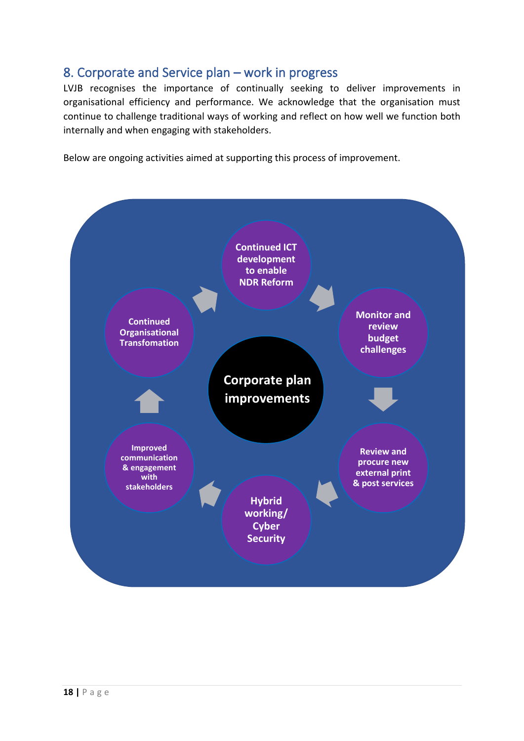## <span id="page-17-0"></span>8. Corporate and Service plan – work in progress

LVJB recognises the importance of continually seeking to deliver improvements in organisational efficiency and performance. We acknowledge that the organisation must continue to challenge traditional ways of working and reflect on how well we function both internally and when engaging with stakeholders.

Below are ongoing activities aimed at supporting this process of improvement.